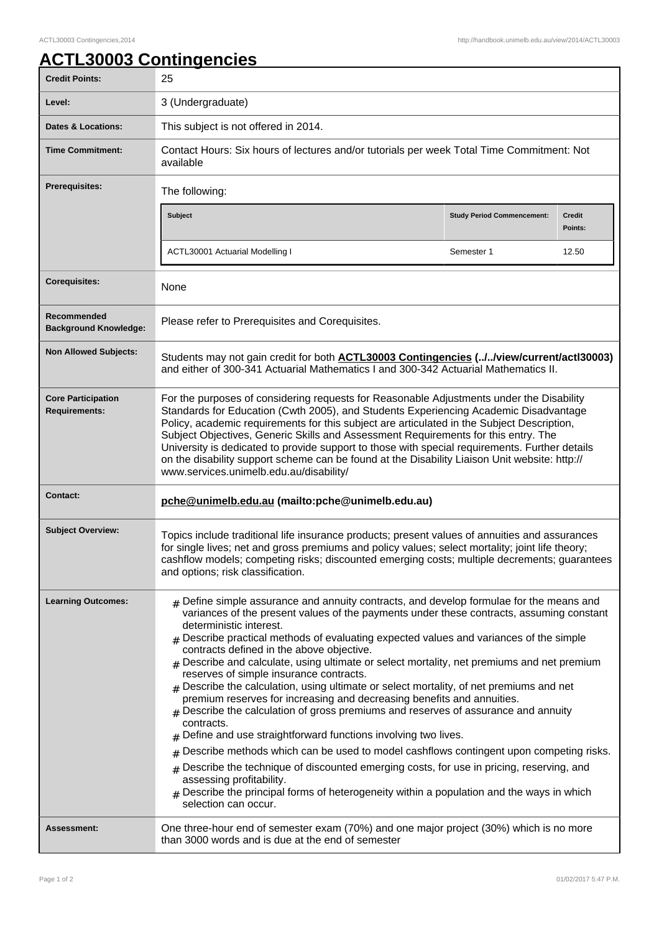## **ACTL30003 Contingencies**

| <b>Credit Points:</b>                             | 25                                                                                                                                                                                                                                                                                                                                                                                                                                                                                                                                                                                                                                                                                                                                                                                                                                                                                                                                                                                                                                                                                                                                                                                                |                                   |                          |
|---------------------------------------------------|---------------------------------------------------------------------------------------------------------------------------------------------------------------------------------------------------------------------------------------------------------------------------------------------------------------------------------------------------------------------------------------------------------------------------------------------------------------------------------------------------------------------------------------------------------------------------------------------------------------------------------------------------------------------------------------------------------------------------------------------------------------------------------------------------------------------------------------------------------------------------------------------------------------------------------------------------------------------------------------------------------------------------------------------------------------------------------------------------------------------------------------------------------------------------------------------------|-----------------------------------|--------------------------|
| Level:                                            | 3 (Undergraduate)                                                                                                                                                                                                                                                                                                                                                                                                                                                                                                                                                                                                                                                                                                                                                                                                                                                                                                                                                                                                                                                                                                                                                                                 |                                   |                          |
| Dates & Locations:                                | This subject is not offered in 2014.                                                                                                                                                                                                                                                                                                                                                                                                                                                                                                                                                                                                                                                                                                                                                                                                                                                                                                                                                                                                                                                                                                                                                              |                                   |                          |
| <b>Time Commitment:</b>                           | Contact Hours: Six hours of lectures and/or tutorials per week Total Time Commitment: Not<br>available                                                                                                                                                                                                                                                                                                                                                                                                                                                                                                                                                                                                                                                                                                                                                                                                                                                                                                                                                                                                                                                                                            |                                   |                          |
| <b>Prerequisites:</b>                             | The following:                                                                                                                                                                                                                                                                                                                                                                                                                                                                                                                                                                                                                                                                                                                                                                                                                                                                                                                                                                                                                                                                                                                                                                                    |                                   |                          |
|                                                   | <b>Subject</b>                                                                                                                                                                                                                                                                                                                                                                                                                                                                                                                                                                                                                                                                                                                                                                                                                                                                                                                                                                                                                                                                                                                                                                                    | <b>Study Period Commencement:</b> | <b>Credit</b><br>Points: |
|                                                   | <b>ACTL30001 Actuarial Modelling I</b>                                                                                                                                                                                                                                                                                                                                                                                                                                                                                                                                                                                                                                                                                                                                                                                                                                                                                                                                                                                                                                                                                                                                                            | Semester 1                        | 12.50                    |
| <b>Corequisites:</b>                              | None                                                                                                                                                                                                                                                                                                                                                                                                                                                                                                                                                                                                                                                                                                                                                                                                                                                                                                                                                                                                                                                                                                                                                                                              |                                   |                          |
| Recommended<br><b>Background Knowledge:</b>       | Please refer to Prerequisites and Corequisites.                                                                                                                                                                                                                                                                                                                                                                                                                                                                                                                                                                                                                                                                                                                                                                                                                                                                                                                                                                                                                                                                                                                                                   |                                   |                          |
| <b>Non Allowed Subjects:</b>                      | Students may not gain credit for both <b>ACTL30003 Contingencies (.J.Jview/current/actl30003)</b><br>and either of 300-341 Actuarial Mathematics I and 300-342 Actuarial Mathematics II.                                                                                                                                                                                                                                                                                                                                                                                                                                                                                                                                                                                                                                                                                                                                                                                                                                                                                                                                                                                                          |                                   |                          |
| <b>Core Participation</b><br><b>Requirements:</b> | For the purposes of considering requests for Reasonable Adjustments under the Disability<br>Standards for Education (Cwth 2005), and Students Experiencing Academic Disadvantage<br>Policy, academic requirements for this subject are articulated in the Subject Description,<br>Subject Objectives, Generic Skills and Assessment Requirements for this entry. The<br>University is dedicated to provide support to those with special requirements. Further details<br>on the disability support scheme can be found at the Disability Liaison Unit website: http://<br>www.services.unimelb.edu.au/disability/                                                                                                                                                                                                                                                                                                                                                                                                                                                                                                                                                                                |                                   |                          |
| <b>Contact:</b>                                   | pche@unimelb.edu.au (mailto:pche@unimelb.edu.au)                                                                                                                                                                                                                                                                                                                                                                                                                                                                                                                                                                                                                                                                                                                                                                                                                                                                                                                                                                                                                                                                                                                                                  |                                   |                          |
| <b>Subject Overview:</b>                          | Topics include traditional life insurance products; present values of annuities and assurances<br>for single lives; net and gross premiums and policy values; select mortality; joint life theory;<br>cashflow models; competing risks; discounted emerging costs; multiple decrements; guarantees<br>and options; risk classification.                                                                                                                                                                                                                                                                                                                                                                                                                                                                                                                                                                                                                                                                                                                                                                                                                                                           |                                   |                          |
| <b>Learning Outcomes:</b>                         | $_{\#}$ Define simple assurance and annuity contracts, and develop formulae for the means and<br>variances of the present values of the payments under these contracts, assuming constant<br>deterministic interest.<br>$#$ Describe practical methods of evaluating expected values and variances of the simple<br>contracts defined in the above objective.<br>Describe and calculate, using ultimate or select mortality, net premiums and net premium<br>reserves of simple insurance contracts.<br>Describe the calculation, using ultimate or select mortality, of net premiums and net<br>premium reserves for increasing and decreasing benefits and annuities.<br>$#$ Describe the calculation of gross premiums and reserves of assurance and annuity<br>contracts.<br>Define and use straightforward functions involving two lives.<br>#<br>Describe methods which can be used to model cashflows contingent upon competing risks.<br>#<br>Describe the technique of discounted emerging costs, for use in pricing, reserving, and<br>#<br>assessing profitability.<br>Describe the principal forms of heterogeneity within a population and the ways in which<br>selection can occur. |                                   |                          |
| Assessment:                                       | One three-hour end of semester exam (70%) and one major project (30%) which is no more<br>than 3000 words and is due at the end of semester                                                                                                                                                                                                                                                                                                                                                                                                                                                                                                                                                                                                                                                                                                                                                                                                                                                                                                                                                                                                                                                       |                                   |                          |